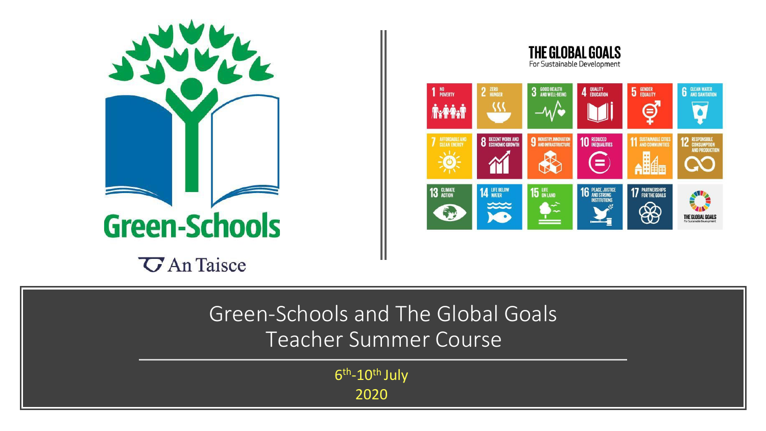

THE GLOBAL GOALS For Sustainable Development



Green-Schools and The Global Goals Teacher Summer Course

> 6<sup>th</sup>-10<sup>th</sup> July 2020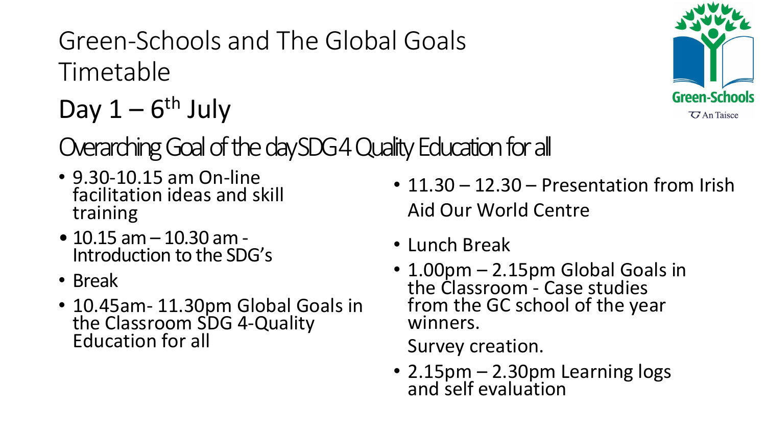Green-Schools and The Global Goals Timetable

$$
Day 1-6th July
$$

Overarching Goal of the day SDG4 Quality Education for all

- 9.30-10.15 am On-line facilitation ideas and skill training
- 10.15 am 10.30 am Introduction to the SDG's
- Break
- 10.45am- 11.30pm Global Goals in the Classroom SDG 4-Quality Education for all
- 11.30 12.30 Presentation from Irish Aid Our World Centre
- Lunch Break
- 1.00pm 2.15pm Global Goals in the Classroom - Case studies from the GC school of the year winners.

Survey creation.

• 2.15pm – 2.30pm Learning logs and self evaluation

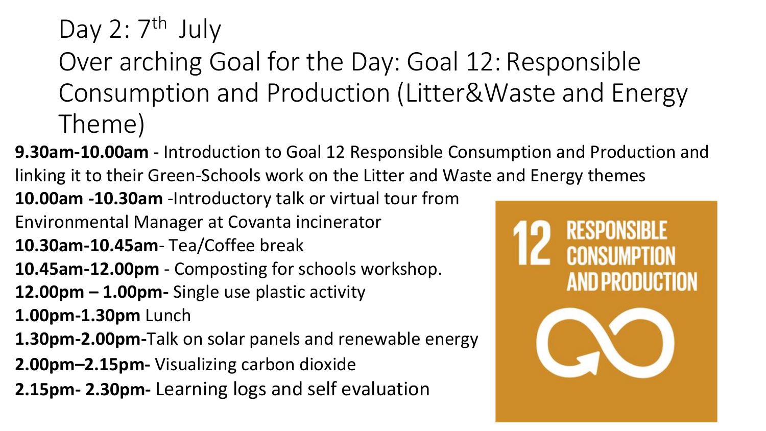Day 2: 7<sup>th</sup> July

Over arching Goal for the Day: Goal 12: Responsible Consumption and Production (Litter&Waste and Energy Theme)

**9.30am-10.00am** - Introduction to Goal 12 Responsible Consumption and Production and linking it to their Green-Schools work on the Litter and Waste and Energy themes

**10.00am -10.30am** -Introductory talk or virtual tour from

Environmental Manager at Covanta incinerator

**10.30am-10.45am**- Tea/Coffee break

**10.45am-12.00pm** - Composting for schools workshop.

**12.00pm – 1.00pm-** Single use plastic activity

**1.00pm-1.30pm** Lunch

**1.30pm-2.00pm-**Talk on solar panels and renewable energy

**2.00pm–2.15pm-** Visualizing carbon dioxide

**2.15pm- 2.30pm-** Learning logs and self evaluation

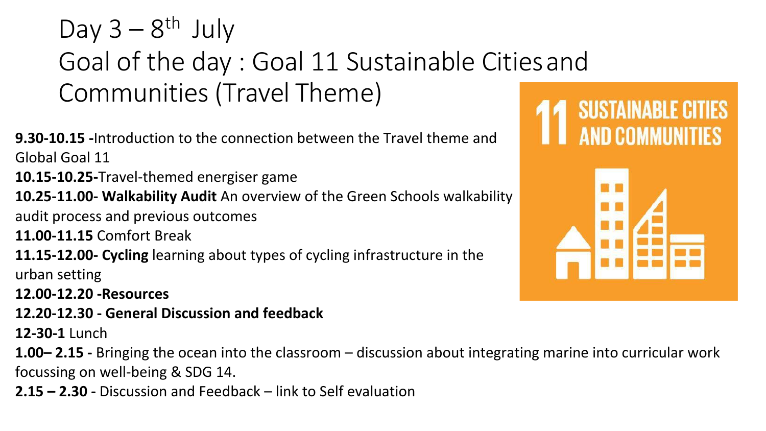Day  $3 - 8$ <sup>th</sup> July Goal of the day : Goal 11 Sustainable Citiesand Communities (Travel Theme)

**9.30-10.15 -**Introduction to the connection between the Travel theme and Global Goal 11

**10.15-10.25-**Travel-themed energiser game

**10.25-11.00- Walkability Audit** An overview of the Green Schools walkability

audit process and previous outcomes

**11.00-11.15** Comfort Break

**11.15-12.00- Cycling** learning about types of cycling infrastructure in the urban setting

**12.00-12.20 -Resources**

**12.20-12.30 - General Discussion and feedback**

**12-30-1** Lunch

**1.00– 2.15 -** Bringing the ocean into the classroom – discussion about integrating marine into curricular work focussing on well-being & SDG 14.

**2.15 – 2.30 -** Discussion and Feedback – link to Self evaluation

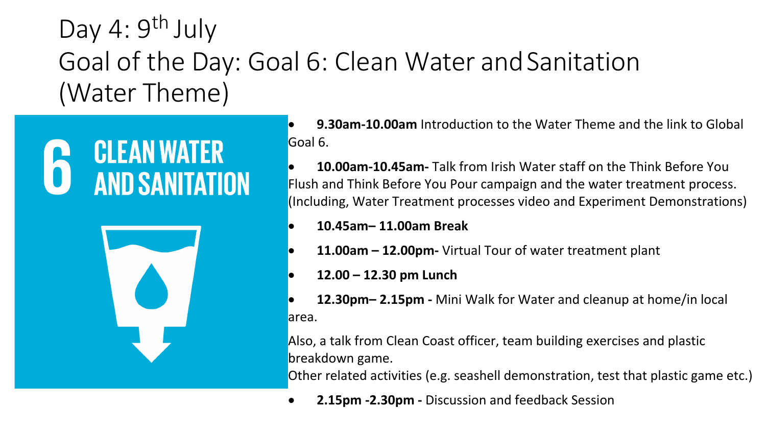Day 4: 9<sup>th</sup> July Goal of the Day: Goal 6: Clean Water and Sanitation (Water Theme)





• **9.30am-10.00am** Introduction to the Water Theme and the link to Global Goal 6.

• **10.00am-10.45am-** Talk from Irish Water staff on the Think Before You Flush and Think Before You Pour campaign and the water treatment process. (Including, Water Treatment processes video and Experiment Demonstrations)

- **10.45am– 11.00am Break**
- **11.00am – 12.00pm-** Virtual Tour of water treatment plant
- **12.00 – 12.30 pm Lunch**
- **12.30pm– 2.15pm -** Mini Walk for Water and cleanup at home/in local area.

Also, a talk from Clean Coast officer, team building exercises and plastic breakdown game.

Other related activities (e.g. seashell demonstration, test that plastic game etc.)

• **2.15pm -2.30pm -** Discussion and feedback Session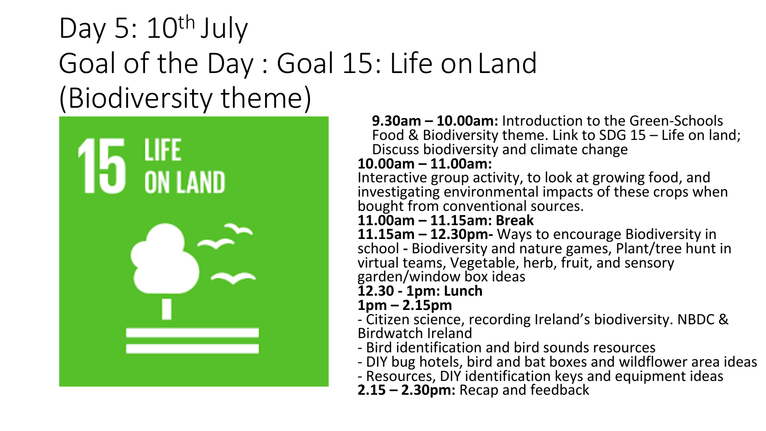## Day 5:  $10^{th}$  July Goal of the Day : Goal 15: Life onLand (Biodiversity theme)



**9.30am – 10.00am:** Introduction to the Green-Schools Food & Biodiversity theme. Link to SDG 15 – Life on land; Discuss biodiversity and climate change

## **10.00am – 11.00am:**

Interactive group activity, to look at growing food, and investigating environmental impacts of these crops when bought from conventional sources.

## **11.00am – 11.15am: Break**

**11.15am – 12.30pm-** Ways to encourage Biodiversity in school - Biodiversity and nature games, Plant/tree hunt in virtual teams, Vegetable, herb, fruit, and sensory garden/window box ideas

**12.30 - 1pm: Lunch**

**1pm – 2.15pm**

- Citizen science, recording Ireland's biodiversity. NBDC & Birdwatch Ireland

- Bird identification and bird sounds resources

- DIY bug hotels, bird and bat boxes and wildflower area ideas

- Resources, DIY identification keys and equipment ideas

**2.15 – 2.30pm:** Recap and feedback